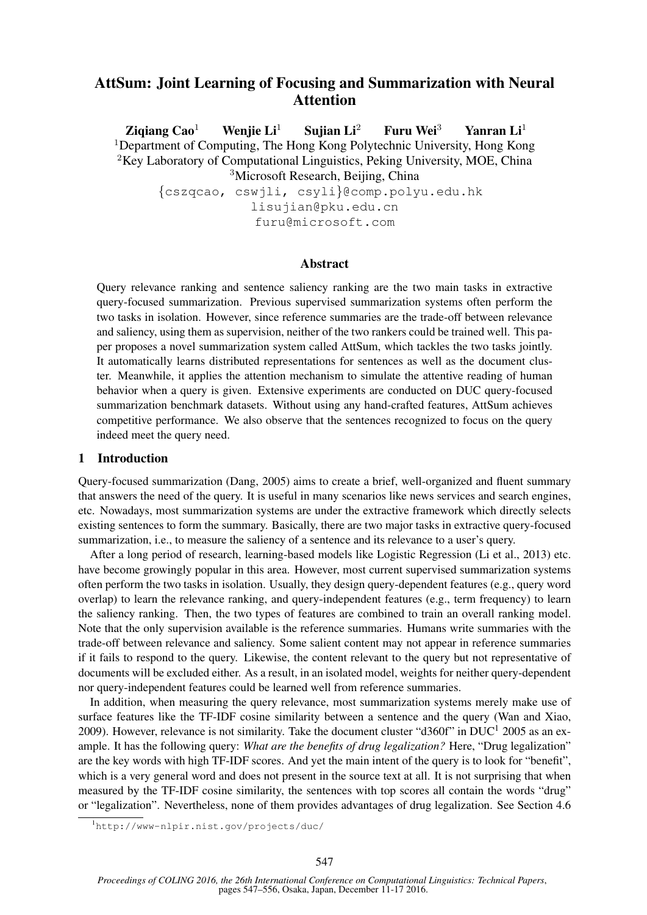# AttSum: Joint Learning of Focusing and Summarization with Neural Attention

Ziqiang Cao<sup>1</sup> Wenjie Li<sup>1</sup> Sujian Li<sup>2</sup> Furu Wei<sup>3</sup> Yanran Li<sup>1</sup> <sup>1</sup>Department of Computing, The Hong Kong Polytechnic University, Hong Kong <sup>2</sup>Key Laboratory of Computational Linguistics, Peking University, MOE, China <sup>3</sup>Microsoft Research, Beijing, China

{cszqcao, cswjli, csyli}@comp.polyu.edu.hk lisujian@pku.edu.cn furu@microsoft.com

### Abstract

Query relevance ranking and sentence saliency ranking are the two main tasks in extractive query-focused summarization. Previous supervised summarization systems often perform the two tasks in isolation. However, since reference summaries are the trade-off between relevance and saliency, using them as supervision, neither of the two rankers could be trained well. This paper proposes a novel summarization system called AttSum, which tackles the two tasks jointly. It automatically learns distributed representations for sentences as well as the document cluster. Meanwhile, it applies the attention mechanism to simulate the attentive reading of human behavior when a query is given. Extensive experiments are conducted on DUC query-focused summarization benchmark datasets. Without using any hand-crafted features, AttSum achieves competitive performance. We also observe that the sentences recognized to focus on the query indeed meet the query need.

# 1 Introduction

Query-focused summarization (Dang, 2005) aims to create a brief, well-organized and fluent summary that answers the need of the query. It is useful in many scenarios like news services and search engines, etc. Nowadays, most summarization systems are under the extractive framework which directly selects existing sentences to form the summary. Basically, there are two major tasks in extractive query-focused summarization, i.e., to measure the saliency of a sentence and its relevance to a user's query.

After a long period of research, learning-based models like Logistic Regression (Li et al., 2013) etc. have become growingly popular in this area. However, most current supervised summarization systems often perform the two tasks in isolation. Usually, they design query-dependent features (e.g., query word overlap) to learn the relevance ranking, and query-independent features (e.g., term frequency) to learn the saliency ranking. Then, the two types of features are combined to train an overall ranking model. Note that the only supervision available is the reference summaries. Humans write summaries with the trade-off between relevance and saliency. Some salient content may not appear in reference summaries if it fails to respond to the query. Likewise, the content relevant to the query but not representative of documents will be excluded either. As a result, in an isolated model, weights for neither query-dependent nor query-independent features could be learned well from reference summaries.

In addition, when measuring the query relevance, most summarization systems merely make use of surface features like the TF-IDF cosine similarity between a sentence and the query (Wan and Xiao, 2009). However, relevance is not similarity. Take the document cluster "d360f" in  $DUC<sup>1</sup>$  2005 as an example. It has the following query: *What are the benefits of drug legalization?* Here, "Drug legalization" are the key words with high TF-IDF scores. And yet the main intent of the query is to look for "benefit", which is a very general word and does not present in the source text at all. It is not surprising that when measured by the TF-IDF cosine similarity, the sentences with top scores all contain the words "drug" or "legalization". Nevertheless, none of them provides advantages of drug legalization. See Section 4.6

<sup>1</sup>http://www-nlpir.nist.gov/projects/duc/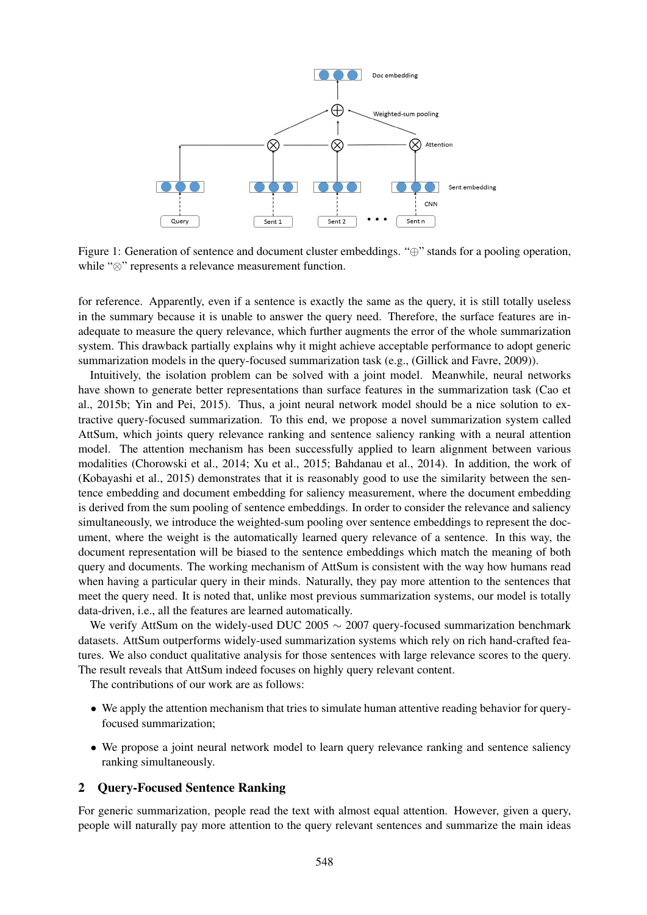

Figure 1: Generation of sentence and document cluster embeddings. "⊕" stands for a pooling operation, while "⊗" represents a relevance measurement function.

for reference. Apparently, even if a sentence is exactly the same as the query, it is still totally useless in the summary because it is unable to answer the query need. Therefore, the surface features are inadequate to measure the query relevance, which further augments the error of the whole summarization system. This drawback partially explains why it might achieve acceptable performance to adopt generic summarization models in the query-focused summarization task (e.g., (Gillick and Favre, 2009)).

Intuitively, the isolation problem can be solved with a joint model. Meanwhile, neural networks have shown to generate better representations than surface features in the summarization task (Cao et al., 2015b; Yin and Pei, 2015). Thus, a joint neural network model should be a nice solution to extractive query-focused summarization. To this end, we propose a novel summarization system called AttSum, which joints query relevance ranking and sentence saliency ranking with a neural attention model. The attention mechanism has been successfully applied to learn alignment between various modalities (Chorowski et al., 2014; Xu et al., 2015; Bahdanau et al., 2014). In addition, the work of (Kobayashi et al., 2015) demonstrates that it is reasonably good to use the similarity between the sentence embedding and document embedding for saliency measurement, where the document embedding is derived from the sum pooling of sentence embeddings. In order to consider the relevance and saliency simultaneously, we introduce the weighted-sum pooling over sentence embeddings to represent the document, where the weight is the automatically learned query relevance of a sentence. In this way, the document representation will be biased to the sentence embeddings which match the meaning of both query and documents. The working mechanism of AttSum is consistent with the way how humans read when having a particular query in their minds. Naturally, they pay more attention to the sentences that meet the query need. It is noted that, unlike most previous summarization systems, our model is totally data-driven, i.e., all the features are learned automatically.

We verify AttSum on the widely-used DUC 2005  $\sim$  2007 query-focused summarization benchmark datasets. AttSum outperforms widely-used summarization systems which rely on rich hand-crafted features. We also conduct qualitative analysis for those sentences with large relevance scores to the query. The result reveals that AttSum indeed focuses on highly query relevant content.

The contributions of our work are as follows:

- We apply the attention mechanism that tries to simulate human attentive reading behavior for queryfocused summarization;
- We propose a joint neural network model to learn query relevance ranking and sentence saliency ranking simultaneously.

# 2 Query-Focused Sentence Ranking

For generic summarization, people read the text with almost equal attention. However, given a query, people will naturally pay more attention to the query relevant sentences and summarize the main ideas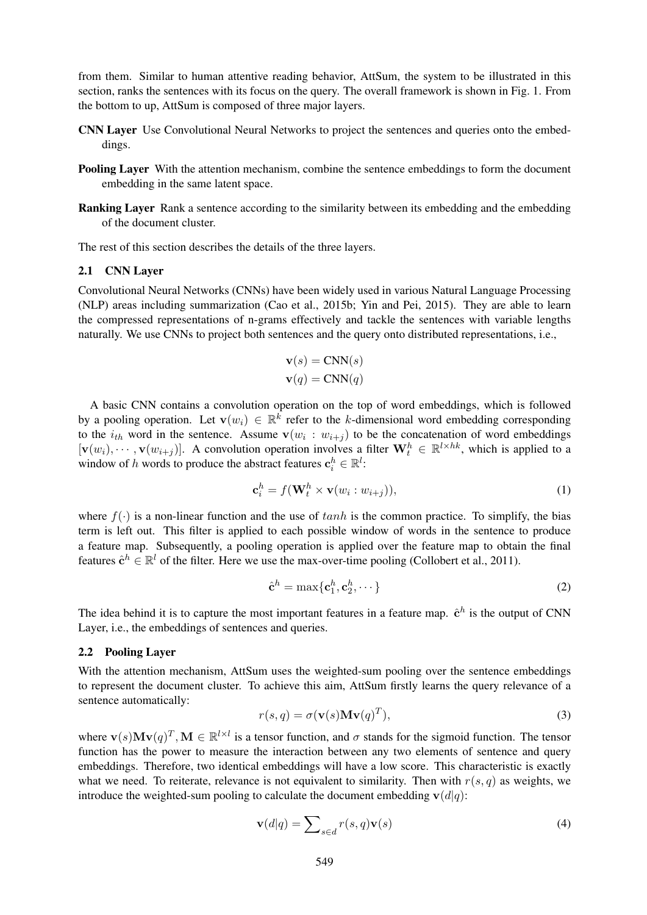from them. Similar to human attentive reading behavior, AttSum, the system to be illustrated in this section, ranks the sentences with its focus on the query. The overall framework is shown in Fig. 1. From the bottom to up, AttSum is composed of three major layers.

- CNN Layer Use Convolutional Neural Networks to project the sentences and queries onto the embeddings.
- Pooling Layer With the attention mechanism, combine the sentence embeddings to form the document embedding in the same latent space.
- Ranking Layer Rank a sentence according to the similarity between its embedding and the embedding of the document cluster.

The rest of this section describes the details of the three layers.

### 2.1 CNN Layer

Convolutional Neural Networks (CNNs) have been widely used in various Natural Language Processing (NLP) areas including summarization (Cao et al., 2015b; Yin and Pei, 2015). They are able to learn the compressed representations of n-grams effectively and tackle the sentences with variable lengths naturally. We use CNNs to project both sentences and the query onto distributed representations, i.e.,

$$
\mathbf{v}(s) = \text{CNN}(s)
$$
  

$$
\mathbf{v}(q) = \text{CNN}(q)
$$

A basic CNN contains a convolution operation on the top of word embeddings, which is followed by a pooling operation. Let  $\mathbf{v}(w_i) \in \mathbb{R}^k$  refer to the k-dimensional word embedding corresponding to the  $i_{th}$  word in the sentence. Assume  $\mathbf{v}(w_i : w_{i+j})$  to be the concatenation of word embeddings  $[v(w_i), \dots, v(w_{i+j})]$ . A convolution operation involves a filter  $\mathbf{W}_t^h \in \mathbb{R}^{l \times hk}$ , which is applied to a window of h words to produce the abstract features  $\mathbf{c}_i^h \in \mathbb{R}^l$ :

$$
\mathbf{c}_i^h = f(\mathbf{W}_t^h \times \mathbf{v}(w_i : w_{i+j})),\tag{1}
$$

where  $f(\cdot)$  is a non-linear function and the use of tanh is the common practice. To simplify, the bias term is left out. This filter is applied to each possible window of words in the sentence to produce a feature map. Subsequently, a pooling operation is applied over the feature map to obtain the final features  $\hat{\mathbf{c}}^h \in \mathbb{R}^l$  of the filter. Here we use the max-over-time pooling (Collobert et al., 2011).

$$
\hat{\mathbf{c}}^h = \max\{\mathbf{c}_1^h, \mathbf{c}_2^h, \cdots\}
$$
 (2)

The idea behind it is to capture the most important features in a feature map.  $\hat{c}^h$  is the output of CNN Layer, i.e., the embeddings of sentences and queries.

### 2.2 Pooling Layer

With the attention mechanism, AttSum uses the weighted-sum pooling over the sentence embeddings to represent the document cluster. To achieve this aim, AttSum firstly learns the query relevance of a sentence automatically:

$$
r(s,q) = \sigma(\mathbf{v}(s)\mathbf{M}\mathbf{v}(q)^{T}),
$$
\n(3)

where  $\mathbf{v}(s) \mathbf{M} \mathbf{v}(q)^T$ ,  $\mathbf{M} \in \mathbb{R}^{l \times l}$  is a tensor function, and  $\sigma$  stands for the sigmoid function. The tensor function has the power to measure the interaction between any two elements of sentence and query embeddings. Therefore, two identical embeddings will have a low score. This characteristic is exactly what we need. To reiterate, relevance is not equivalent to similarity. Then with  $r(s, q)$  as weights, we introduce the weighted-sum pooling to calculate the document embedding  $\mathbf{v}(d|q)$ :

$$
\mathbf{v}(d|q) = \sum_{s \in d} r(s, q)\mathbf{v}(s)
$$
\n(4)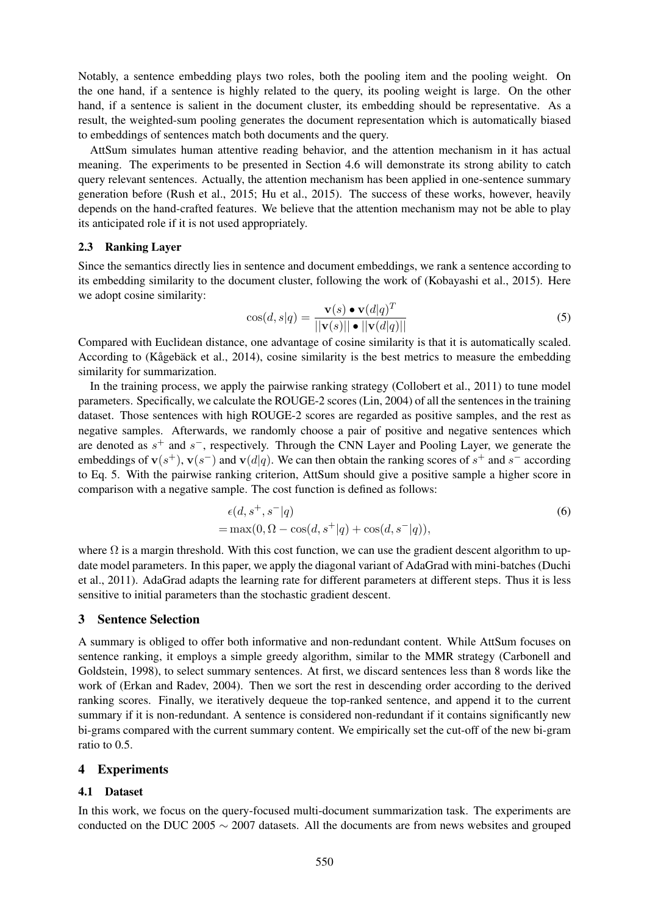Notably, a sentence embedding plays two roles, both the pooling item and the pooling weight. On the one hand, if a sentence is highly related to the query, its pooling weight is large. On the other hand, if a sentence is salient in the document cluster, its embedding should be representative. As a result, the weighted-sum pooling generates the document representation which is automatically biased to embeddings of sentences match both documents and the query.

AttSum simulates human attentive reading behavior, and the attention mechanism in it has actual meaning. The experiments to be presented in Section 4.6 will demonstrate its strong ability to catch query relevant sentences. Actually, the attention mechanism has been applied in one-sentence summary generation before (Rush et al., 2015; Hu et al., 2015). The success of these works, however, heavily depends on the hand-crafted features. We believe that the attention mechanism may not be able to play its anticipated role if it is not used appropriately.

### 2.3 Ranking Layer

Since the semantics directly lies in sentence and document embeddings, we rank a sentence according to its embedding similarity to the document cluster, following the work of (Kobayashi et al., 2015). Here we adopt cosine similarity:

$$
\cos(d, s|q) = \frac{\mathbf{v}(s) \bullet \mathbf{v}(d|q)^T}{||\mathbf{v}(s)|| \bullet ||\mathbf{v}(d|q)||}
$$
(5)

Compared with Euclidean distance, one advantage of cosine similarity is that it is automatically scaled. According to (Kågebäck et al., 2014), cosine similarity is the best metrics to measure the embedding similarity for summarization.

In the training process, we apply the pairwise ranking strategy (Collobert et al., 2011) to tune model parameters. Specifically, we calculate the ROUGE-2 scores (Lin, 2004) of all the sentences in the training dataset. Those sentences with high ROUGE-2 scores are regarded as positive samples, and the rest as negative samples. Afterwards, we randomly choose a pair of positive and negative sentences which are denoted as  $s^+$  and  $s^-$ , respectively. Through the CNN Layer and Pooling Layer, we generate the embeddings of  $\mathbf{v}(s^+)$ ,  $\mathbf{v}(s^-)$  and  $\mathbf{v}(d|q)$ . We can then obtain the ranking scores of  $s^+$  and  $s^-$  according to Eq. 5. With the pairwise ranking criterion, AttSum should give a positive sample a higher score in comparison with a negative sample. The cost function is defined as follows:

$$
\epsilon(d, s^+, s^- | q) \n= \max(0, \Omega - \cos(d, s^+ | q) + \cos(d, s^- | q)),
$$
\n(6)

where  $\Omega$  is a margin threshold. With this cost function, we can use the gradient descent algorithm to update model parameters. In this paper, we apply the diagonal variant of AdaGrad with mini-batches (Duchi et al., 2011). AdaGrad adapts the learning rate for different parameters at different steps. Thus it is less sensitive to initial parameters than the stochastic gradient descent.

#### 3 Sentence Selection

A summary is obliged to offer both informative and non-redundant content. While AttSum focuses on sentence ranking, it employs a simple greedy algorithm, similar to the MMR strategy (Carbonell and Goldstein, 1998), to select summary sentences. At first, we discard sentences less than 8 words like the work of (Erkan and Radev, 2004). Then we sort the rest in descending order according to the derived ranking scores. Finally, we iteratively dequeue the top-ranked sentence, and append it to the current summary if it is non-redundant. A sentence is considered non-redundant if it contains significantly new bi-grams compared with the current summary content. We empirically set the cut-off of the new bi-gram ratio to 0.5.

### 4 Experiments

### 4.1 Dataset

In this work, we focus on the query-focused multi-document summarization task. The experiments are conducted on the DUC 2005  $\sim$  2007 datasets. All the documents are from news websites and grouped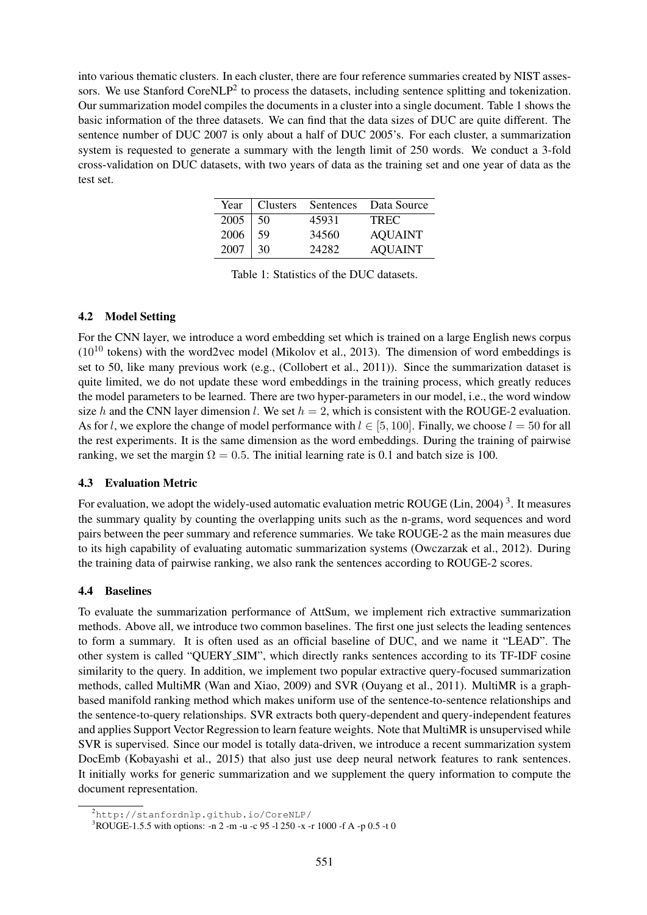into various thematic clusters. In each cluster, there are four reference summaries created by NIST assessors. We use Stanford CoreNLP<sup>2</sup> to process the datasets, including sentence splitting and tokenization. Our summarization model compiles the documents in a cluster into a single document. Table 1 shows the basic information of the three datasets. We can find that the data sizes of DUC are quite different. The sentence number of DUC 2007 is only about a half of DUC 2005's. For each cluster, a summarization system is requested to generate a summary with the length limit of 250 words. We conduct a 3-fold cross-validation on DUC datasets, with two years of data as the training set and one year of data as the test set.

| Year |    |       | Clusters Sentences Data Source |
|------|----|-------|--------------------------------|
| 2005 | 50 | 45931 | <b>TREC</b>                    |
| 2006 | 59 | 34560 | <b>AQUAINT</b>                 |
| 2007 | 30 | 24282 | <b>AQUAINT</b>                 |

Table 1: Statistics of the DUC datasets.

# 4.2 Model Setting

For the CNN layer, we introduce a word embedding set which is trained on a large English news corpus  $(10^{10}$  tokens) with the word2vec model (Mikolov et al., 2013). The dimension of word embeddings is set to 50, like many previous work (e.g., (Collobert et al., 2011)). Since the summarization dataset is quite limited, we do not update these word embeddings in the training process, which greatly reduces the model parameters to be learned. There are two hyper-parameters in our model, i.e., the word window size h and the CNN layer dimension l. We set  $h = 2$ , which is consistent with the ROUGE-2 evaluation. As for l, we explore the change of model performance with  $l \in [5, 100]$ . Finally, we choose  $l = 50$  for all the rest experiments. It is the same dimension as the word embeddings. During the training of pairwise ranking, we set the margin  $\Omega = 0.5$ . The initial learning rate is 0.1 and batch size is 100.

# 4.3 Evaluation Metric

For evaluation, we adopt the widely-used automatic evaluation metric ROUGE (Lin, 2004)<sup>3</sup>. It measures the summary quality by counting the overlapping units such as the n-grams, word sequences and word pairs between the peer summary and reference summaries. We take ROUGE-2 as the main measures due to its high capability of evaluating automatic summarization systems (Owczarzak et al., 2012). During the training data of pairwise ranking, we also rank the sentences according to ROUGE-2 scores.

# 4.4 Baselines

To evaluate the summarization performance of AttSum, we implement rich extractive summarization methods. Above all, we introduce two common baselines. The first one just selects the leading sentences to form a summary. It is often used as an official baseline of DUC, and we name it "LEAD". The other system is called "QUERY SIM", which directly ranks sentences according to its TF-IDF cosine similarity to the query. In addition, we implement two popular extractive query-focused summarization methods, called MultiMR (Wan and Xiao, 2009) and SVR (Ouyang et al., 2011). MultiMR is a graphbased manifold ranking method which makes uniform use of the sentence-to-sentence relationships and the sentence-to-query relationships. SVR extracts both query-dependent and query-independent features and applies Support Vector Regression to learn feature weights. Note that MultiMR is unsupervised while SVR is supervised. Since our model is totally data-driven, we introduce a recent summarization system DocEmb (Kobayashi et al., 2015) that also just use deep neural network features to rank sentences. It initially works for generic summarization and we supplement the query information to compute the document representation.

<sup>2</sup>http://stanfordnlp.github.io/CoreNLP/

 $3$ ROUGE-1.5.5 with options: -n 2 -m -u -c 95 -l 250 -x -r 1000 -f A -p 0.5 -t 0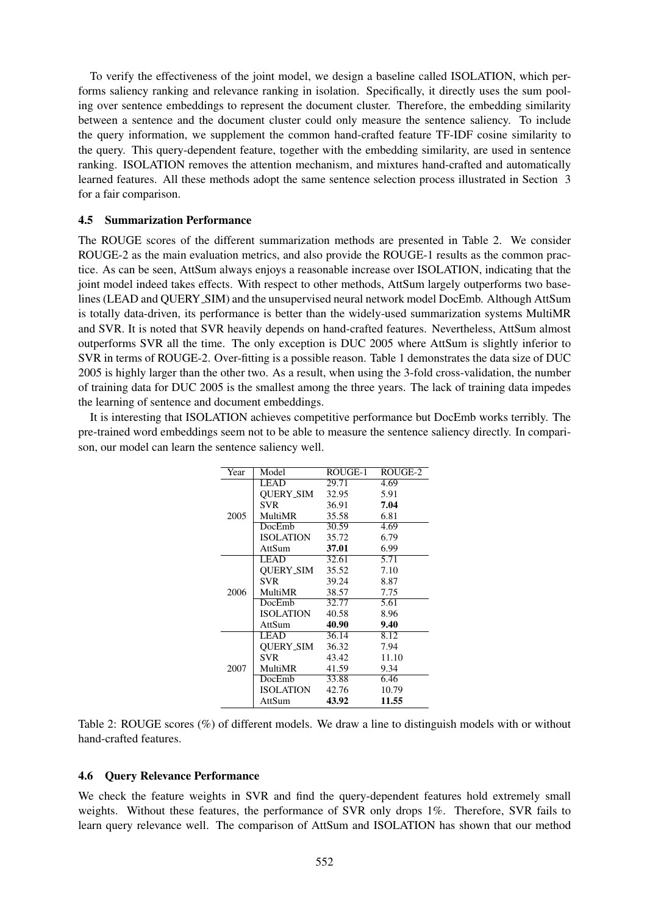To verify the effectiveness of the joint model, we design a baseline called ISOLATION, which performs saliency ranking and relevance ranking in isolation. Specifically, it directly uses the sum pooling over sentence embeddings to represent the document cluster. Therefore, the embedding similarity between a sentence and the document cluster could only measure the sentence saliency. To include the query information, we supplement the common hand-crafted feature TF-IDF cosine similarity to the query. This query-dependent feature, together with the embedding similarity, are used in sentence ranking. ISOLATION removes the attention mechanism, and mixtures hand-crafted and automatically learned features. All these methods adopt the same sentence selection process illustrated in Section 3 for a fair comparison.

### 4.5 Summarization Performance

The ROUGE scores of the different summarization methods are presented in Table 2. We consider ROUGE-2 as the main evaluation metrics, and also provide the ROUGE-1 results as the common practice. As can be seen, AttSum always enjoys a reasonable increase over ISOLATION, indicating that the joint model indeed takes effects. With respect to other methods, AttSum largely outperforms two baselines (LEAD and QUERY SIM) and the unsupervised neural network model DocEmb. Although AttSum is totally data-driven, its performance is better than the widely-used summarization systems MultiMR and SVR. It is noted that SVR heavily depends on hand-crafted features. Nevertheless, AttSum almost outperforms SVR all the time. The only exception is DUC 2005 where AttSum is slightly inferior to SVR in terms of ROUGE-2. Over-fitting is a possible reason. Table 1 demonstrates the data size of DUC 2005 is highly larger than the other two. As a result, when using the 3-fold cross-validation, the number of training data for DUC 2005 is the smallest among the three years. The lack of training data impedes the learning of sentence and document embeddings.

It is interesting that ISOLATION achieves competitive performance but DocEmb works terribly. The pre-trained word embeddings seem not to be able to measure the sentence saliency directly. In comparison, our model can learn the sentence saliency well.

| Year | Model       | ROUGE-1 | ROUGE-2 |
|------|-------------|---------|---------|
| 2005 | LEAD        | 29.71   | 4.69    |
|      | OUERY_SIM   | 32.95   | 5.91    |
|      | SVR.        | 36.91   | 7.04    |
|      | MultiMR     | 35.58   | 6.81    |
|      | DocEmb      | 30.59   | 4.69    |
|      | ISOLATION   | 35.72   | 6.79    |
|      | AttSum      | 37.01   | 6.99    |
| 2006 | <b>LEAD</b> | 32.61   | 5.71    |
|      | QUERY_SIM   | 35.52   | 7.10    |
|      | <b>SVR</b>  | 39.24   | 8.87    |
|      | MultiMR     | 38.57   | 7.75    |
|      | DocEmb      | 32.77   | 5.61    |
|      | ISOLATION   | 40.58   | 8.96    |
|      | AttSum      | 40.90   | 9.40    |
| 2007 | <b>LEAD</b> | 36.14   | 8.12    |
|      | OUERY_SIM   | 36.32   | 7.94    |
|      | <b>SVR</b>  | 43.42   | 11.10   |
|      | MultiMR     | 41.59   | 9.34    |
|      | DocEmb      | 33.88   | 6.46    |
|      | ISOLATION   | 42.76   | 10.79   |
|      | AttSum      | 43.92   | 11.55   |

Table 2: ROUGE scores (%) of different models. We draw a line to distinguish models with or without hand-crafted features.

# 4.6 Query Relevance Performance

We check the feature weights in SVR and find the query-dependent features hold extremely small weights. Without these features, the performance of SVR only drops 1%. Therefore, SVR fails to learn query relevance well. The comparison of AttSum and ISOLATION has shown that our method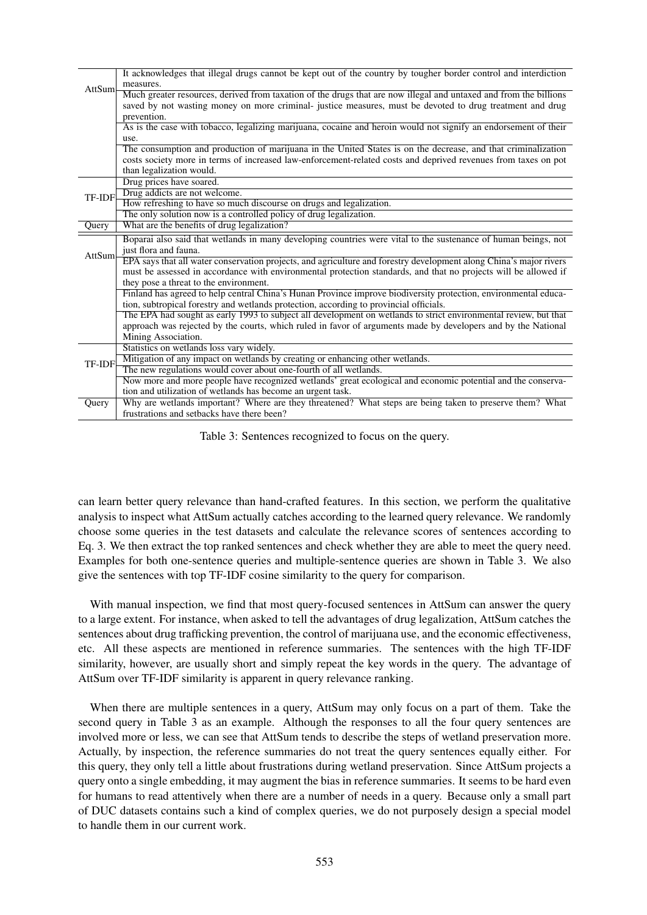|               | It acknowledges that illegal drugs cannot be kept out of the country by tougher border control and interdiction    |  |  |  |  |
|---------------|--------------------------------------------------------------------------------------------------------------------|--|--|--|--|
| AttSum-       | measures.                                                                                                          |  |  |  |  |
|               | Much greater resources, derived from taxation of the drugs that are now illegal and untaxed and from the billions  |  |  |  |  |
|               | saved by not wasting money on more criminal- justice measures, must be devoted to drug treatment and drug          |  |  |  |  |
|               | prevention.                                                                                                        |  |  |  |  |
|               | As is the case with tobacco, legalizing marijuana, cocaine and heroin would not signify an endorsement of their    |  |  |  |  |
|               | use.                                                                                                               |  |  |  |  |
|               | The consumption and production of marijuana in the United States is on the decrease, and that criminalization      |  |  |  |  |
|               | costs society more in terms of increased law-enforcement-related costs and deprived revenues from taxes on pot     |  |  |  |  |
|               | than legalization would.                                                                                           |  |  |  |  |
|               | Drug prices have soared.                                                                                           |  |  |  |  |
| TF-IDF        | Drug addicts are not welcome.                                                                                      |  |  |  |  |
|               | How refreshing to have so much discourse on drugs and legalization.                                                |  |  |  |  |
|               | The only solution now is a controlled policy of drug legalization.                                                 |  |  |  |  |
| Query         | What are the benefits of drug legalization?                                                                        |  |  |  |  |
|               | Boparai also said that wetlands in many developing countries were vital to the sustenance of human beings, not     |  |  |  |  |
|               | just flora and fauna.                                                                                              |  |  |  |  |
| <b>AttSum</b> | EPA says that all water conservation projects, and agriculture and forestry development along China's major rivers |  |  |  |  |
|               | must be assessed in accordance with environmental protection standards, and that no projects will be allowed if    |  |  |  |  |
|               | they pose a threat to the environment.                                                                             |  |  |  |  |
|               | Finland has agreed to help central China's Hunan Province improve biodiversity protection, environmental educa-    |  |  |  |  |
|               | tion, subtropical forestry and wetlands protection, according to provincial officials.                             |  |  |  |  |
|               | The EPA had sought as early 1993 to subject all development on wetlands to strict environmental review, but that   |  |  |  |  |
|               | approach was rejected by the courts, which ruled in favor of arguments made by developers and by the National      |  |  |  |  |
|               | Mining Association.                                                                                                |  |  |  |  |
|               | Statistics on wetlands loss vary widely.                                                                           |  |  |  |  |
| TF-IDF        | Mitigation of any impact on wetlands by creating or enhancing other wetlands.                                      |  |  |  |  |
|               | The new regulations would cover about one-fourth of all wetlands.                                                  |  |  |  |  |
|               | Now more and more people have recognized wetlands' great ecological and economic potential and the conserva-       |  |  |  |  |
|               | tion and utilization of wetlands has become an urgent task.                                                        |  |  |  |  |
| Query         | Why are wetlands important? Where are they threatened? What steps are being taken to preserve them? What           |  |  |  |  |
|               | frustrations and setbacks have there been?                                                                         |  |  |  |  |

Table 3: Sentences recognized to focus on the query.

can learn better query relevance than hand-crafted features. In this section, we perform the qualitative analysis to inspect what AttSum actually catches according to the learned query relevance. We randomly choose some queries in the test datasets and calculate the relevance scores of sentences according to Eq. 3. We then extract the top ranked sentences and check whether they are able to meet the query need. Examples for both one-sentence queries and multiple-sentence queries are shown in Table 3. We also give the sentences with top TF-IDF cosine similarity to the query for comparison.

With manual inspection, we find that most query-focused sentences in AttSum can answer the query to a large extent. For instance, when asked to tell the advantages of drug legalization, AttSum catches the sentences about drug trafficking prevention, the control of marijuana use, and the economic effectiveness, etc. All these aspects are mentioned in reference summaries. The sentences with the high TF-IDF similarity, however, are usually short and simply repeat the key words in the query. The advantage of AttSum over TF-IDF similarity is apparent in query relevance ranking.

When there are multiple sentences in a query, AttSum may only focus on a part of them. Take the second query in Table 3 as an example. Although the responses to all the four query sentences are involved more or less, we can see that AttSum tends to describe the steps of wetland preservation more. Actually, by inspection, the reference summaries do not treat the query sentences equally either. For this query, they only tell a little about frustrations during wetland preservation. Since AttSum projects a query onto a single embedding, it may augment the bias in reference summaries. It seems to be hard even for humans to read attentively when there are a number of needs in a query. Because only a small part of DUC datasets contains such a kind of complex queries, we do not purposely design a special model to handle them in our current work.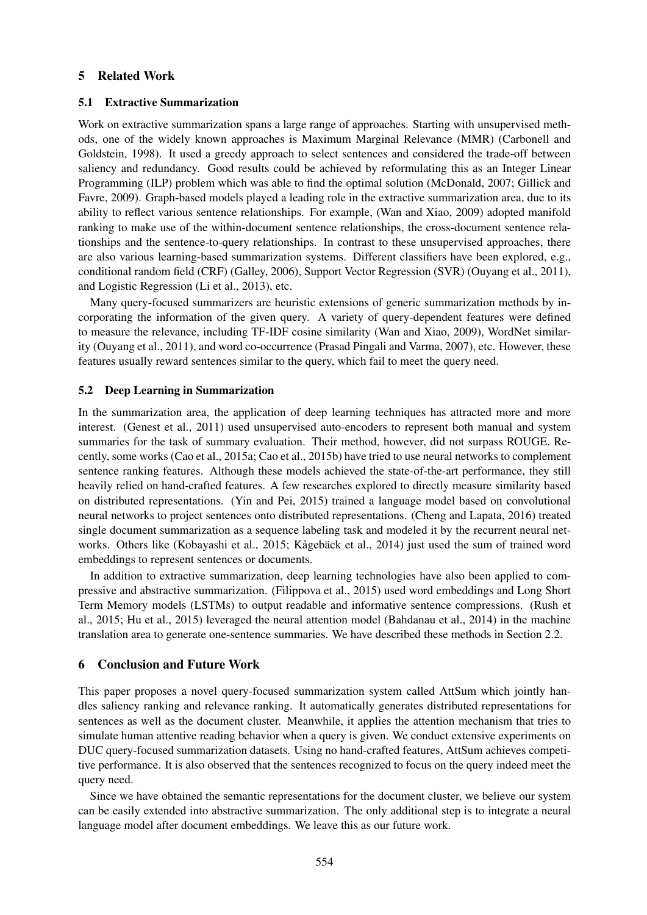### 5 Related Work

#### 5.1 Extractive Summarization

Work on extractive summarization spans a large range of approaches. Starting with unsupervised methods, one of the widely known approaches is Maximum Marginal Relevance (MMR) (Carbonell and Goldstein, 1998). It used a greedy approach to select sentences and considered the trade-off between saliency and redundancy. Good results could be achieved by reformulating this as an Integer Linear Programming (ILP) problem which was able to find the optimal solution (McDonald, 2007; Gillick and Favre, 2009). Graph-based models played a leading role in the extractive summarization area, due to its ability to reflect various sentence relationships. For example, (Wan and Xiao, 2009) adopted manifold ranking to make use of the within-document sentence relationships, the cross-document sentence relationships and the sentence-to-query relationships. In contrast to these unsupervised approaches, there are also various learning-based summarization systems. Different classifiers have been explored, e.g., conditional random field (CRF) (Galley, 2006), Support Vector Regression (SVR) (Ouyang et al., 2011), and Logistic Regression (Li et al., 2013), etc.

Many query-focused summarizers are heuristic extensions of generic summarization methods by incorporating the information of the given query. A variety of query-dependent features were defined to measure the relevance, including TF-IDF cosine similarity (Wan and Xiao, 2009), WordNet similarity (Ouyang et al., 2011), and word co-occurrence (Prasad Pingali and Varma, 2007), etc. However, these features usually reward sentences similar to the query, which fail to meet the query need.

#### 5.2 Deep Learning in Summarization

In the summarization area, the application of deep learning techniques has attracted more and more interest. (Genest et al., 2011) used unsupervised auto-encoders to represent both manual and system summaries for the task of summary evaluation. Their method, however, did not surpass ROUGE. Recently, some works (Cao et al., 2015a; Cao et al., 2015b) have tried to use neural networks to complement sentence ranking features. Although these models achieved the state-of-the-art performance, they still heavily relied on hand-crafted features. A few researches explored to directly measure similarity based on distributed representations. (Yin and Pei, 2015) trained a language model based on convolutional neural networks to project sentences onto distributed representations. (Cheng and Lapata, 2016) treated single document summarization as a sequence labeling task and modeled it by the recurrent neural networks. Others like (Kobayashi et al., 2015; Kågebäck et al., 2014) just used the sum of trained word embeddings to represent sentences or documents.

In addition to extractive summarization, deep learning technologies have also been applied to compressive and abstractive summarization. (Filippova et al., 2015) used word embeddings and Long Short Term Memory models (LSTMs) to output readable and informative sentence compressions. (Rush et al., 2015; Hu et al., 2015) leveraged the neural attention model (Bahdanau et al., 2014) in the machine translation area to generate one-sentence summaries. We have described these methods in Section 2.2.

### 6 Conclusion and Future Work

This paper proposes a novel query-focused summarization system called AttSum which jointly handles saliency ranking and relevance ranking. It automatically generates distributed representations for sentences as well as the document cluster. Meanwhile, it applies the attention mechanism that tries to simulate human attentive reading behavior when a query is given. We conduct extensive experiments on DUC query-focused summarization datasets. Using no hand-crafted features, AttSum achieves competitive performance. It is also observed that the sentences recognized to focus on the query indeed meet the query need.

Since we have obtained the semantic representations for the document cluster, we believe our system can be easily extended into abstractive summarization. The only additional step is to integrate a neural language model after document embeddings. We leave this as our future work.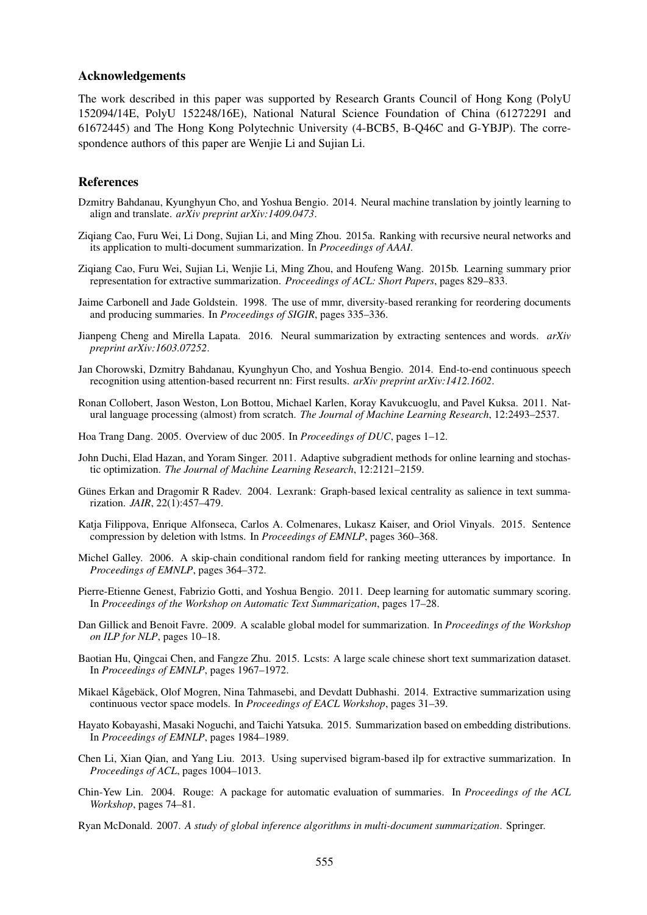#### Acknowledgements

The work described in this paper was supported by Research Grants Council of Hong Kong (PolyU 152094/14E, PolyU 152248/16E), National Natural Science Foundation of China (61272291 and 61672445) and The Hong Kong Polytechnic University (4-BCB5, B-Q46C and G-YBJP). The correspondence authors of this paper are Wenjie Li and Sujian Li.

#### References

- Dzmitry Bahdanau, Kyunghyun Cho, and Yoshua Bengio. 2014. Neural machine translation by jointly learning to align and translate. *arXiv preprint arXiv:1409.0473*.
- Ziqiang Cao, Furu Wei, Li Dong, Sujian Li, and Ming Zhou. 2015a. Ranking with recursive neural networks and its application to multi-document summarization. In *Proceedings of AAAI*.
- Ziqiang Cao, Furu Wei, Sujian Li, Wenjie Li, Ming Zhou, and Houfeng Wang. 2015b. Learning summary prior representation for extractive summarization. *Proceedings of ACL: Short Papers*, pages 829–833.
- Jaime Carbonell and Jade Goldstein. 1998. The use of mmr, diversity-based reranking for reordering documents and producing summaries. In *Proceedings of SIGIR*, pages 335–336.
- Jianpeng Cheng and Mirella Lapata. 2016. Neural summarization by extracting sentences and words. *arXiv preprint arXiv:1603.07252*.
- Jan Chorowski, Dzmitry Bahdanau, Kyunghyun Cho, and Yoshua Bengio. 2014. End-to-end continuous speech recognition using attention-based recurrent nn: First results. *arXiv preprint arXiv:1412.1602*.
- Ronan Collobert, Jason Weston, Lon Bottou, Michael Karlen, Koray Kavukcuoglu, and Pavel Kuksa. 2011. Natural language processing (almost) from scratch. *The Journal of Machine Learning Research*, 12:2493–2537.
- Hoa Trang Dang. 2005. Overview of duc 2005. In *Proceedings of DUC*, pages 1–12.
- John Duchi, Elad Hazan, and Yoram Singer. 2011. Adaptive subgradient methods for online learning and stochastic optimization. *The Journal of Machine Learning Research*, 12:2121–2159.
- Günes Erkan and Dragomir R Radev. 2004. Lexrank: Graph-based lexical centrality as salience in text summarization. *JAIR*, 22(1):457–479.
- Katja Filippova, Enrique Alfonseca, Carlos A. Colmenares, Lukasz Kaiser, and Oriol Vinyals. 2015. Sentence compression by deletion with lstms. In *Proceedings of EMNLP*, pages 360–368.
- Michel Galley. 2006. A skip-chain conditional random field for ranking meeting utterances by importance. In *Proceedings of EMNLP*, pages 364–372.
- Pierre-Etienne Genest, Fabrizio Gotti, and Yoshua Bengio. 2011. Deep learning for automatic summary scoring. In *Proceedings of the Workshop on Automatic Text Summarization*, pages 17–28.
- Dan Gillick and Benoit Favre. 2009. A scalable global model for summarization. In *Proceedings of the Workshop on ILP for NLP*, pages 10–18.
- Baotian Hu, Qingcai Chen, and Fangze Zhu. 2015. Lcsts: A large scale chinese short text summarization dataset. In *Proceedings of EMNLP*, pages 1967–1972.
- Mikael Kågebäck, Olof Mogren, Nina Tahmasebi, and Devdatt Dubhashi. 2014. Extractive summarization using continuous vector space models. In *Proceedings of EACL Workshop*, pages 31–39.
- Hayato Kobayashi, Masaki Noguchi, and Taichi Yatsuka. 2015. Summarization based on embedding distributions. In *Proceedings of EMNLP*, pages 1984–1989.
- Chen Li, Xian Qian, and Yang Liu. 2013. Using supervised bigram-based ilp for extractive summarization. In *Proceedings of ACL*, pages 1004–1013.
- Chin-Yew Lin. 2004. Rouge: A package for automatic evaluation of summaries. In *Proceedings of the ACL Workshop*, pages 74–81.
- Ryan McDonald. 2007. *A study of global inference algorithms in multi-document summarization*. Springer.